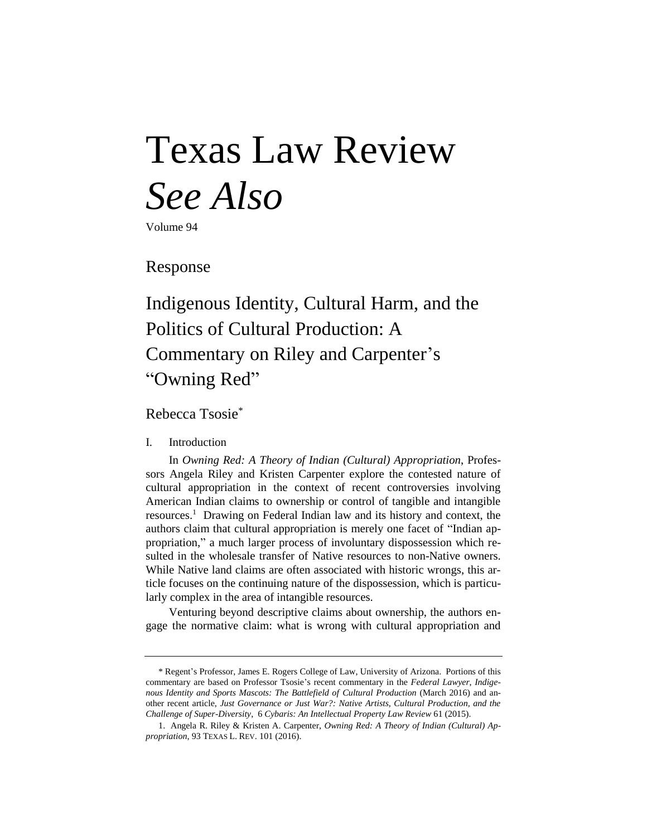# Texas Law Review *See Also*

Volume 94

Response

# Indigenous Identity, Cultural Harm, and the Politics of Cultural Production: A Commentary on Riley and Carpenter's "Owning Red"

Rebecca Tsosie\*

## I. Introduction

In *Owning Red: A Theory of Indian (Cultural) Appropriation*, Professors Angela Riley and Kristen Carpenter explore the contested nature of cultural appropriation in the context of recent controversies involving American Indian claims to ownership or control of tangible and intangible resources.<sup>1</sup> Drawing on Federal Indian law and its history and context, the authors claim that cultural appropriation is merely one facet of "Indian appropriation," a much larger process of involuntary dispossession which resulted in the wholesale transfer of Native resources to non-Native owners. While Native land claims are often associated with historic wrongs, this article focuses on the continuing nature of the dispossession, which is particularly complex in the area of intangible resources.

Venturing beyond descriptive claims about ownership, the authors engage the normative claim: what is wrong with cultural appropriation and

<sup>\*</sup> Regent's Professor, James E. Rogers College of Law, University of Arizona. Portions of this commentary are based on Professor Tsosie's recent commentary in the *Federal Lawyer*, *Indigenous Identity and Sports Mascots: The Battlefield of Cultural Production* (March 2016) and another recent article, *Just Governance or Just War?: Native Artists, Cultural Production, and the Challenge of Super-Diversity*, 6 *Cybaris: An Intellectual Property Law Review* 61 (2015).

<sup>1.</sup> Angela R. Riley & Kristen A. Carpenter, *Owning Red: A Theory of Indian (Cultural) Appropriation*, 93 TEXAS L. REV. 101 (2016).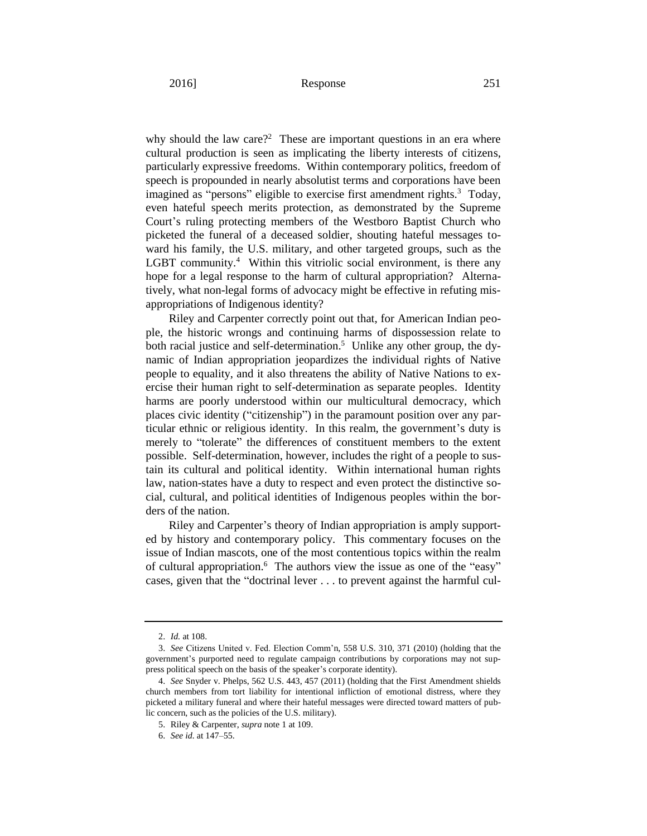why should the law care?<sup>2</sup> These are important questions in an era where cultural production is seen as implicating the liberty interests of citizens, particularly expressive freedoms. Within contemporary politics, freedom of speech is propounded in nearly absolutist terms and corporations have been imagined as "persons" eligible to exercise first amendment rights.<sup>3</sup> Today, even hateful speech merits protection, as demonstrated by the Supreme Court's ruling protecting members of the Westboro Baptist Church who picketed the funeral of a deceased soldier, shouting hateful messages toward his family, the U.S. military, and other targeted groups, such as the LGBT community.<sup>4</sup> Within this vitriolic social environment, is there any hope for a legal response to the harm of cultural appropriation? Alternatively, what non-legal forms of advocacy might be effective in refuting misappropriations of Indigenous identity?

Riley and Carpenter correctly point out that, for American Indian people, the historic wrongs and continuing harms of dispossession relate to both racial justice and self-determination.<sup>5</sup> Unlike any other group, the dynamic of Indian appropriation jeopardizes the individual rights of Native people to equality, and it also threatens the ability of Native Nations to exercise their human right to self-determination as separate peoples. Identity harms are poorly understood within our multicultural democracy, which places civic identity ("citizenship") in the paramount position over any particular ethnic or religious identity. In this realm, the government's duty is merely to "tolerate" the differences of constituent members to the extent possible. Self-determination, however, includes the right of a people to sustain its cultural and political identity. Within international human rights law, nation-states have a duty to respect and even protect the distinctive social, cultural, and political identities of Indigenous peoples within the borders of the nation.

Riley and Carpenter's theory of Indian appropriation is amply supported by history and contemporary policy. This commentary focuses on the issue of Indian mascots, one of the most contentious topics within the realm of cultural appropriation.<sup>6</sup> The authors view the issue as one of the "easy" cases, given that the "doctrinal lever . . . to prevent against the harmful cul-

<sup>2.</sup> *Id.* at 108.

<sup>3.</sup> *See* Citizens United v. Fed. Election Comm'n, 558 U.S. 310, 371 (2010) (holding that the government's purported need to regulate campaign contributions by corporations may not suppress political speech on the basis of the speaker's corporate identity).

<sup>4.</sup> *See* Snyder v. Phelps, 562 U.S. 443, 457 (2011) (holding that the First Amendment shields church members from tort liability for intentional infliction of emotional distress, where they picketed a military funeral and where their hateful messages were directed toward matters of public concern, such as the policies of the U.S. military).

<sup>5.</sup> Riley & Carpenter, *supra* note 1 at 109.

<sup>6.</sup> *See id.* at 147–55.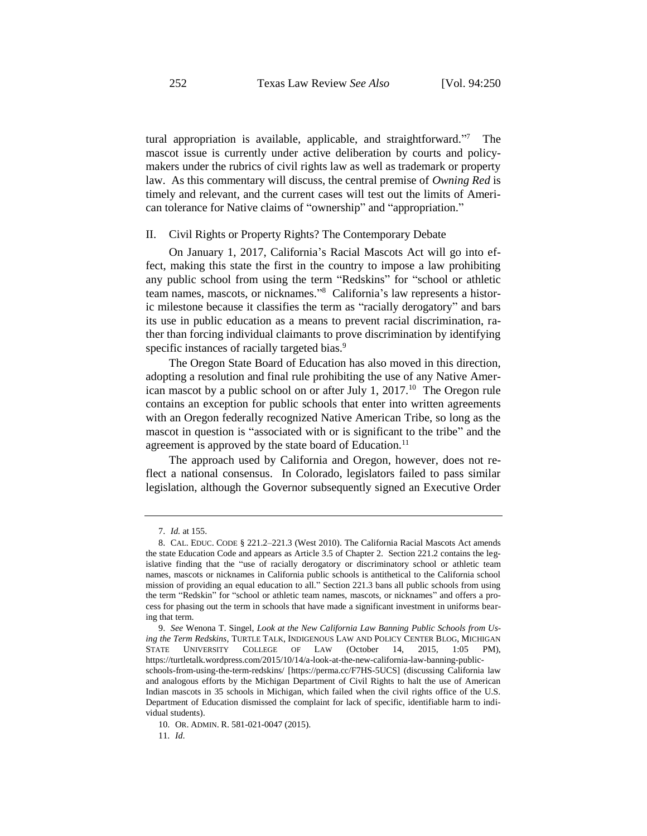tural appropriation is available, applicable, and straightforward."7 The mascot issue is currently under active deliberation by courts and policymakers under the rubrics of civil rights law as well as trademark or property law. As this commentary will discuss, the central premise of *Owning Red* is timely and relevant, and the current cases will test out the limits of American tolerance for Native claims of "ownership" and "appropriation."

#### II. Civil Rights or Property Rights? The Contemporary Debate

On January 1, 2017, California's Racial Mascots Act will go into effect, making this state the first in the country to impose a law prohibiting any public school from using the term "Redskins" for "school or athletic team names, mascots, or nicknames." 8 California's law represents a historic milestone because it classifies the term as "racially derogatory" and bars its use in public education as a means to prevent racial discrimination, rather than forcing individual claimants to prove discrimination by identifying specific instances of racially targeted bias.<sup>9</sup>

The Oregon State Board of Education has also moved in this direction, adopting a resolution and final rule prohibiting the use of any Native American mascot by a public school on or after July 1,  $2017$ .<sup>10</sup> The Oregon rule contains an exception for public schools that enter into written agreements with an Oregon federally recognized Native American Tribe, so long as the mascot in question is "associated with or is significant to the tribe" and the agreement is approved by the state board of Education.<sup>11</sup>

The approach used by California and Oregon, however, does not reflect a national consensus. In Colorado, legislators failed to pass similar legislation, although the Governor subsequently signed an Executive Order

11. *Id*.

<sup>7.</sup> *Id.* at 155.

<sup>8.</sup> CAL. EDUC. CODE § 221.2–221.3 (West 2010). The California Racial Mascots Act amends the state Education Code and appears as Article 3.5 of Chapter 2. Section 221.2 contains the legislative finding that the "use of racially derogatory or discriminatory school or athletic team names, mascots or nicknames in California public schools is antithetical to the California school mission of providing an equal education to all." Section 221.3 bans all public schools from using the term "Redskin" for "school or athletic team names, mascots, or nicknames" and offers a process for phasing out the term in schools that have made a significant investment in uniforms bearing that term.

<sup>9.</sup> *See* Wenona T. Singel, *Look at the New California Law Banning Public Schools from Using the Term Redskins*, TURTLE TALK, INDIGENOUS LAW AND POLICY CENTER BLOG, MICHIGAN STATE UNIVERSITY COLLEGE OF LAW (October 14, 2015, 1:05 PM), https://turtletalk.wordpress.com/2015/10/14/a-look-at-the-new-california-law-banning-publicschools-from-using-the-term-redskins/ [https://perma.cc/F7HS-5UCS] (discussing California law and analogous efforts by the Michigan Department of Civil Rights to halt the use of American Indian mascots in 35 schools in Michigan, which failed when the civil rights office of the U.S. Department of Education dismissed the complaint for lack of specific, identifiable harm to individual students).

<sup>10.</sup> OR. ADMIN. R. 581-021-0047 (2015).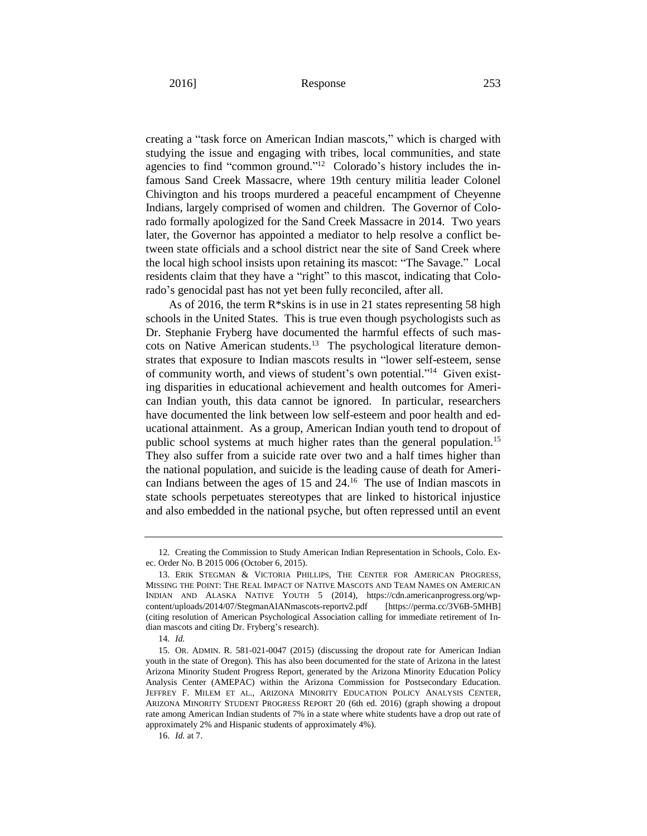creating a "task force on American Indian mascots," which is charged with studying the issue and engaging with tribes, local communities, and state agencies to find "common ground."<sup>12</sup> Colorado's history includes the infamous Sand Creek Massacre, where 19th century militia leader Colonel Chivington and his troops murdered a peaceful encampment of Cheyenne Indians, largely comprised of women and children. The Governor of Colorado formally apologized for the Sand Creek Massacre in 2014. Two years later, the Governor has appointed a mediator to help resolve a conflict between state officials and a school district near the site of Sand Creek where the local high school insists upon retaining its mascot: "The Savage." Local residents claim that they have a "right" to this mascot, indicating that Colorado's genocidal past has not yet been fully reconciled, after all.

As of 2016, the term R\*skins is in use in 21 states representing 58 high schools in the United States. This is true even though psychologists such as Dr. Stephanie Fryberg have documented the harmful effects of such mascots on Native American students.<sup>13</sup> The psychological literature demonstrates that exposure to Indian mascots results in "lower self-esteem, sense of community worth, and views of student's own potential."<sup>14</sup> Given existing disparities in educational achievement and health outcomes for American Indian youth, this data cannot be ignored. In particular, researchers have documented the link between low self-esteem and poor health and educational attainment. As a group, American Indian youth tend to dropout of public school systems at much higher rates than the general population.<sup>15</sup> They also suffer from a suicide rate over two and a half times higher than the national population, and suicide is the leading cause of death for American Indians between the ages of 15 and 24.<sup>16</sup> The use of Indian mascots in state schools perpetuates stereotypes that are linked to historical injustice and also embedded in the national psyche, but often repressed until an event

<sup>12.</sup> Creating the Commission to Study American Indian Representation in Schools, Colo. Exec. Order No. B 2015 006 (October 6, 2015).

<sup>13.</sup> ERIK STEGMAN & VICTORIA PHILLIPS, THE CENTER FOR AMERICAN PROGRESS, MISSING THE POINT: THE REAL IMPACT OF NATIVE MASCOTS AND TEAM NAMES ON AMERICAN INDIAN AND ALASKA NATIVE YOUTH 5 (2014), https://cdn.americanprogress.org/wpcontent/uploads/2014/07/StegmanAIANmascots-reportv2.pdf [https://perma.cc/3V6B-5MHB] (citing resolution of American Psychological Association calling for immediate retirement of Indian mascots and citing Dr. Fryberg's research).

<sup>14.</sup> *Id.*

<sup>15.</sup> OR. ADMIN. R. 581-021-0047 (2015) (discussing the dropout rate for American Indian youth in the state of Oregon). This has also been documented for the state of Arizona in the latest Arizona Minority Student Progress Report, generated by the Arizona Minority Education Policy Analysis Center (AMEPAC) within the Arizona Commission for Postsecondary Education. JEFFREY F. MILEM ET AL., ARIZONA MINORITY EDUCATION POLICY ANALYSIS CENTER, ARIZONA MINORITY STUDENT PROGRESS REPORT 20 (6th ed. 2016) (graph showing a dropout rate among American Indian students of 7% in a state where white students have a drop out rate of approximately 2% and Hispanic students of approximately 4%).

<sup>16.</sup> *Id.* at 7.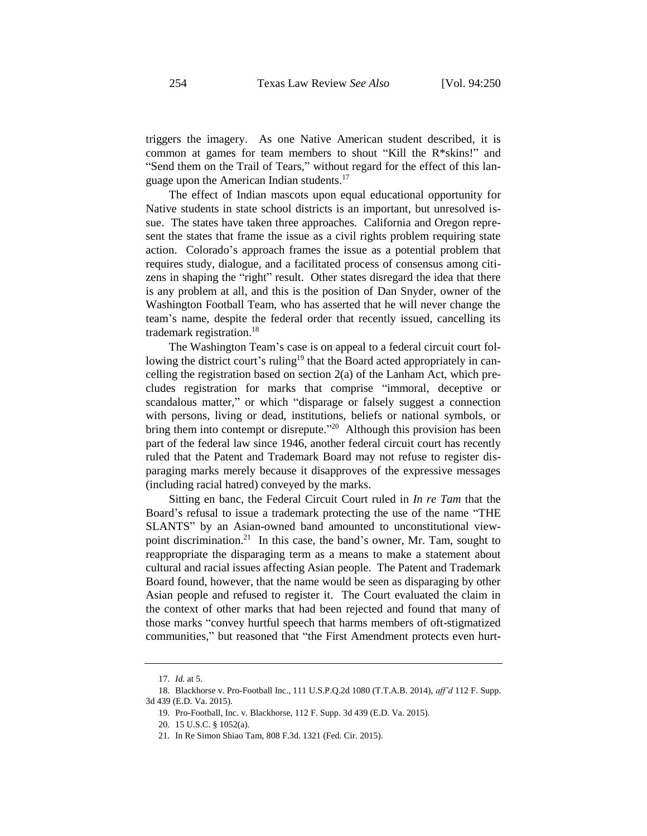triggers the imagery. As one Native American student described, it is common at games for team members to shout "Kill the R\*skins!" and "Send them on the Trail of Tears," without regard for the effect of this language upon the American Indian students.<sup>17</sup>

The effect of Indian mascots upon equal educational opportunity for Native students in state school districts is an important, but unresolved issue. The states have taken three approaches. California and Oregon represent the states that frame the issue as a civil rights problem requiring state action. Colorado's approach frames the issue as a potential problem that requires study, dialogue, and a facilitated process of consensus among citizens in shaping the "right" result. Other states disregard the idea that there is any problem at all, and this is the position of Dan Snyder, owner of the Washington Football Team, who has asserted that he will never change the team's name, despite the federal order that recently issued, cancelling its trademark registration.<sup>18</sup>

The Washington Team's case is on appeal to a federal circuit court following the district court's ruling<sup>19</sup> that the Board acted appropriately in cancelling the registration based on section 2(a) of the Lanham Act, which precludes registration for marks that comprise "immoral, deceptive or scandalous matter," or which "disparage or falsely suggest a connection with persons, living or dead, institutions, beliefs or national symbols, or bring them into contempt or disrepute."<sup>20</sup> Although this provision has been part of the federal law since 1946, another federal circuit court has recently ruled that the Patent and Trademark Board may not refuse to register disparaging marks merely because it disapproves of the expressive messages (including racial hatred) conveyed by the marks.

Sitting en banc, the Federal Circuit Court ruled in *In re Tam* that the Board's refusal to issue a trademark protecting the use of the name "THE SLANTS" by an Asian-owned band amounted to unconstitutional viewpoint discrimination.<sup>21</sup> In this case, the band's owner, Mr. Tam, sought to reappropriate the disparaging term as a means to make a statement about cultural and racial issues affecting Asian people. The Patent and Trademark Board found, however, that the name would be seen as disparaging by other Asian people and refused to register it. The Court evaluated the claim in the context of other marks that had been rejected and found that many of those marks "convey hurtful speech that harms members of oft-stigmatized communities," but reasoned that "the First Amendment protects even hurt-

<sup>17.</sup> *Id.* at 5.

<sup>18.</sup> Blackhorse v. Pro-Football Inc., 111 U.S.P.Q.2d 1080 (T.T.A.B. 2014), *aff'd* 112 F. Supp. 3d 439 (E.D. Va. 2015).

<sup>19.</sup> Pro-Football, Inc. v. Blackhorse, 112 F. Supp. 3d 439 (E.D. Va. 2015).

<sup>20.</sup> 15 U.S.C. § 1052(a).

<sup>21.</sup> In Re Simon Shiao Tam, 808 F.3d. 1321 (Fed. Cir. 2015).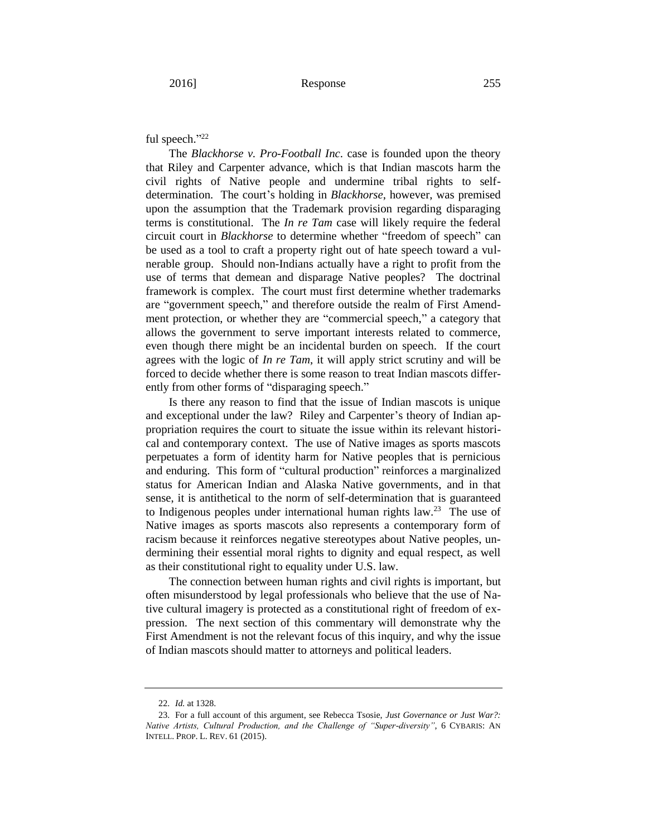## ful speech."22

The *Blackhorse v. Pro-Football Inc*. case is founded upon the theory that Riley and Carpenter advance, which is that Indian mascots harm the civil rights of Native people and undermine tribal rights to selfdetermination. The court's holding in *Blackhorse*, however, was premised upon the assumption that the Trademark provision regarding disparaging terms is constitutional. The *In re Tam* case will likely require the federal circuit court in *Blackhorse* to determine whether "freedom of speech" can be used as a tool to craft a property right out of hate speech toward a vulnerable group. Should non-Indians actually have a right to profit from the use of terms that demean and disparage Native peoples? The doctrinal framework is complex. The court must first determine whether trademarks are "government speech," and therefore outside the realm of First Amendment protection, or whether they are "commercial speech," a category that allows the government to serve important interests related to commerce, even though there might be an incidental burden on speech. If the court agrees with the logic of *In re Tam*, it will apply strict scrutiny and will be forced to decide whether there is some reason to treat Indian mascots differently from other forms of "disparaging speech."

Is there any reason to find that the issue of Indian mascots is unique and exceptional under the law? Riley and Carpenter's theory of Indian appropriation requires the court to situate the issue within its relevant historical and contemporary context. The use of Native images as sports mascots perpetuates a form of identity harm for Native peoples that is pernicious and enduring. This form of "cultural production" reinforces a marginalized status for American Indian and Alaska Native governments, and in that sense, it is antithetical to the norm of self-determination that is guaranteed to Indigenous peoples under international human rights  $law.^{23}$  The use of Native images as sports mascots also represents a contemporary form of racism because it reinforces negative stereotypes about Native peoples, undermining their essential moral rights to dignity and equal respect, as well as their constitutional right to equality under U.S. law.

The connection between human rights and civil rights is important, but often misunderstood by legal professionals who believe that the use of Native cultural imagery is protected as a constitutional right of freedom of expression. The next section of this commentary will demonstrate why the First Amendment is not the relevant focus of this inquiry, and why the issue of Indian mascots should matter to attorneys and political leaders.

<sup>22.</sup> *Id.* at 1328.

<sup>23.</sup> For a full account of this argument, see Rebecca Tsosie, *Just Governance or Just War?: Native Artists, Cultural Production, and the Challenge of "Super-diversity"*, 6 CYBARIS: AN INTELL. PROP. L. REV. 61 (2015).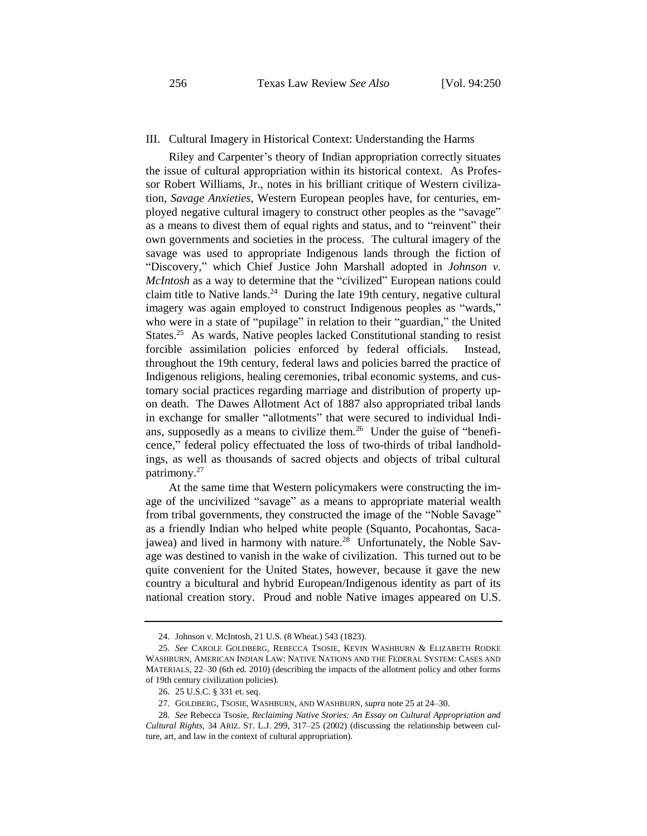#### III. Cultural Imagery in Historical Context: Understanding the Harms

Riley and Carpenter's theory of Indian appropriation correctly situates the issue of cultural appropriation within its historical context. As Professor Robert Williams, Jr., notes in his brilliant critique of Western civilization, *Savage Anxieties*, Western European peoples have, for centuries, employed negative cultural imagery to construct other peoples as the "savage" as a means to divest them of equal rights and status, and to "reinvent" their own governments and societies in the process. The cultural imagery of the savage was used to appropriate Indigenous lands through the fiction of "Discovery," which Chief Justice John Marshall adopted in *Johnson v. McIntosh* as a way to determine that the "civilized" European nations could claim title to Native lands. $24$  During the late 19th century, negative cultural imagery was again employed to construct Indigenous peoples as "wards," who were in a state of "pupilage" in relation to their "guardian," the United States.<sup>25</sup> As wards, Native peoples lacked Constitutional standing to resist forcible assimilation policies enforced by federal officials. Instead, throughout the 19th century, federal laws and policies barred the practice of Indigenous religions, healing ceremonies, tribal economic systems, and customary social practices regarding marriage and distribution of property upon death. The Dawes Allotment Act of 1887 also appropriated tribal lands in exchange for smaller "allotments" that were secured to individual Indians, supposedly as a means to civilize them.<sup>26</sup> Under the guise of "beneficence," federal policy effectuated the loss of two-thirds of tribal landholdings, as well as thousands of sacred objects and objects of tribal cultural patrimony.<sup>27</sup>

At the same time that Western policymakers were constructing the image of the uncivilized "savage" as a means to appropriate material wealth from tribal governments, they constructed the image of the "Noble Savage" as a friendly Indian who helped white people (Squanto, Pocahontas, Sacajawea) and lived in harmony with nature.<sup>28</sup> Unfortunately, the Noble Savage was destined to vanish in the wake of civilization. This turned out to be quite convenient for the United States, however, because it gave the new country a bicultural and hybrid European/Indigenous identity as part of its national creation story. Proud and noble Native images appeared on U.S.

<sup>24.</sup> Johnson v. McIntosh, 21 U.S. (8 Wheat.) 543 (1823).

<sup>25.</sup> *See* CAROLE GOLDBERG, REBECCA TSOSIE, KEVIN WASHBURN & ELIZABETH RODKE WASHBURN, AMERICAN INDIAN LAW: NATIVE NATIONS AND THE FEDERAL SYSTEM: CASES AND MATERIALS, 22–30 (6th ed. 2010) (describing the impacts of the allotment policy and other forms of 19th century civilization policies).

<sup>26.</sup> 25 U.S.C. § 331 et. seq.

<sup>27.</sup> GOLDBERG, TSOSIE, WASHBURN, AND WASHBURN, *supra* note 25 at 24–30.

<sup>28.</sup> *See* Rebecca Tsosie, *Reclaiming Native Stories: An Essay on Cultural Appropriation and Cultural Rights*, 34 ARIZ. ST. L.J. 299, 317–25 (2002) (discussing the relationship between culture, art, and law in the context of cultural appropriation).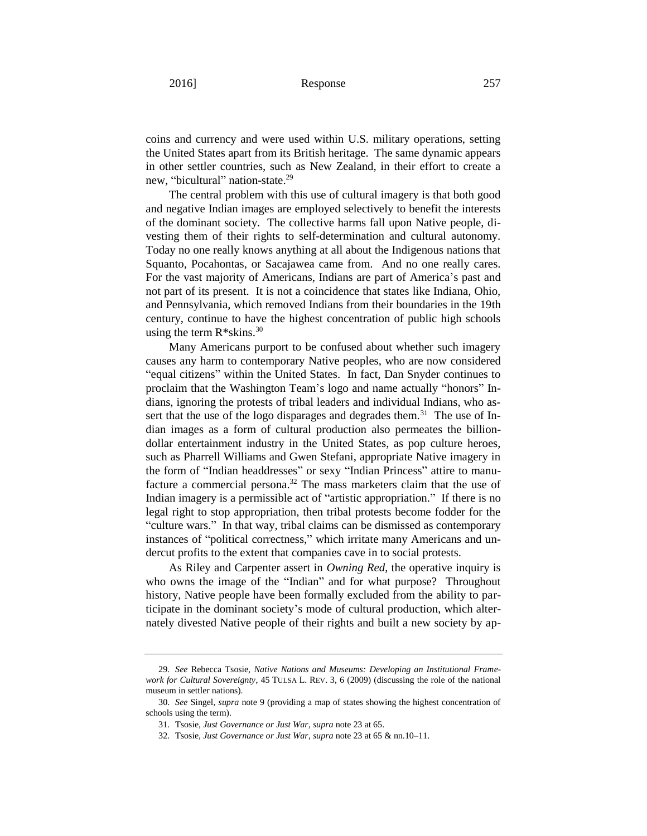coins and currency and were used within U.S. military operations, setting the United States apart from its British heritage. The same dynamic appears in other settler countries, such as New Zealand, in their effort to create a new, "bicultural" nation-state.<sup>29</sup>

The central problem with this use of cultural imagery is that both good and negative Indian images are employed selectively to benefit the interests of the dominant society. The collective harms fall upon Native people, divesting them of their rights to self-determination and cultural autonomy. Today no one really knows anything at all about the Indigenous nations that Squanto, Pocahontas, or Sacajawea came from. And no one really cares. For the vast majority of Americans, Indians are part of America's past and not part of its present. It is not a coincidence that states like Indiana, Ohio, and Pennsylvania, which removed Indians from their boundaries in the 19th century, continue to have the highest concentration of public high schools using the term  $R*skins.<sup>30</sup>$ 

Many Americans purport to be confused about whether such imagery causes any harm to contemporary Native peoples, who are now considered "equal citizens" within the United States. In fact, Dan Snyder continues to proclaim that the Washington Team's logo and name actually "honors" Indians, ignoring the protests of tribal leaders and individual Indians, who assert that the use of the logo disparages and degrades them.<sup>31</sup> The use of Indian images as a form of cultural production also permeates the billiondollar entertainment industry in the United States, as pop culture heroes, such as Pharrell Williams and Gwen Stefani, appropriate Native imagery in the form of "Indian headdresses" or sexy "Indian Princess" attire to manufacture a commercial persona.<sup>32</sup> The mass marketers claim that the use of Indian imagery is a permissible act of "artistic appropriation." If there is no legal right to stop appropriation, then tribal protests become fodder for the "culture wars." In that way, tribal claims can be dismissed as contemporary instances of "political correctness," which irritate many Americans and undercut profits to the extent that companies cave in to social protests.

As Riley and Carpenter assert in *Owning Red*, the operative inquiry is who owns the image of the "Indian" and for what purpose? Throughout history, Native people have been formally excluded from the ability to participate in the dominant society's mode of cultural production, which alternately divested Native people of their rights and built a new society by ap-

<sup>29.</sup> *See* Rebecca Tsosie, *Native Nations and Museums: Developing an Institutional Framework for Cultural Sovereignty*, 45 TULSA L. REV. 3, 6 (2009) (discussing the role of the national museum in settler nations).

<sup>30.</sup> *See* Singel, *supra* note 9 (providing a map of states showing the highest concentration of schools using the term).

<sup>31.</sup> Tsosie, *Just Governance or Just War*, *supra* note 23 at 65.

<sup>32.</sup> Tsosie, *Just Governance or Just War*, *supra* note 23 at 65 & nn.10–11.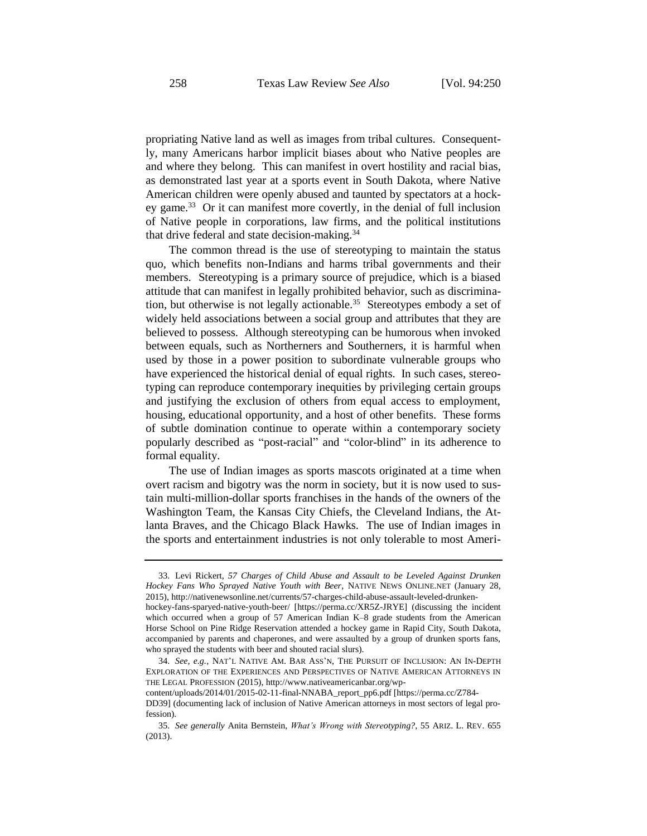propriating Native land as well as images from tribal cultures. Consequently, many Americans harbor implicit biases about who Native peoples are and where they belong. This can manifest in overt hostility and racial bias, as demonstrated last year at a sports event in South Dakota, where Native American children were openly abused and taunted by spectators at a hockey game.<sup>33</sup> Or it can manifest more covertly, in the denial of full inclusion of Native people in corporations, law firms, and the political institutions that drive federal and state decision-making.<sup>34</sup>

The common thread is the use of stereotyping to maintain the status quo, which benefits non-Indians and harms tribal governments and their members. Stereotyping is a primary source of prejudice, which is a biased attitude that can manifest in legally prohibited behavior, such as discrimination, but otherwise is not legally actionable.<sup>35</sup> Stereotypes embody a set of widely held associations between a social group and attributes that they are believed to possess. Although stereotyping can be humorous when invoked between equals, such as Northerners and Southerners, it is harmful when used by those in a power position to subordinate vulnerable groups who have experienced the historical denial of equal rights. In such cases, stereotyping can reproduce contemporary inequities by privileging certain groups and justifying the exclusion of others from equal access to employment, housing, educational opportunity, and a host of other benefits. These forms of subtle domination continue to operate within a contemporary society popularly described as "post-racial" and "color-blind" in its adherence to formal equality.

The use of Indian images as sports mascots originated at a time when overt racism and bigotry was the norm in society, but it is now used to sustain multi-million-dollar sports franchises in the hands of the owners of the Washington Team, the Kansas City Chiefs, the Cleveland Indians, the Atlanta Braves, and the Chicago Black Hawks. The use of Indian images in the sports and entertainment industries is not only tolerable to most Ameri-

<sup>33.</sup> Levi Rickert, *57 Charges of Child Abuse and Assault to be Leveled Against Drunken Hockey Fans Who Sprayed Native Youth with Beer*, NATIVE NEWS ONLINE.NET (January 28, 2015), http://nativenewsonline.net/currents/57-charges-child-abuse-assault-leveled-drunken-

hockey-fans-sparyed-native-youth-beer/ [https://perma.cc/XR5Z-JRYE] (discussing the incident which occurred when a group of 57 American Indian K–8 grade students from the American Horse School on Pine Ridge Reservation attended a hockey game in Rapid City, South Dakota, accompanied by parents and chaperones, and were assaulted by a group of drunken sports fans, who sprayed the students with beer and shouted racial slurs).

<sup>34.</sup> *See, e.g.*, NAT'L NATIVE AM. BAR ASS'N, THE PURSUIT OF INCLUSION: AN IN-DEPTH EXPLORATION OF THE EXPERIENCES AND PERSPECTIVES OF NATIVE AMERICAN ATTORNEYS IN THE LEGAL PROFESSION (2015), http://www.nativeamericanbar.org/wp-

content/uploads/2014/01/2015-02-11-final-NNABA\_report\_pp6.pdf [https://perma.cc/Z784-

DD39] (documenting lack of inclusion of Native American attorneys in most sectors of legal profession).

<sup>35.</sup> *See generally* Anita Bernstein, *What's Wrong with Stereotyping?*, 55 ARIZ. L. REV. 655 (2013).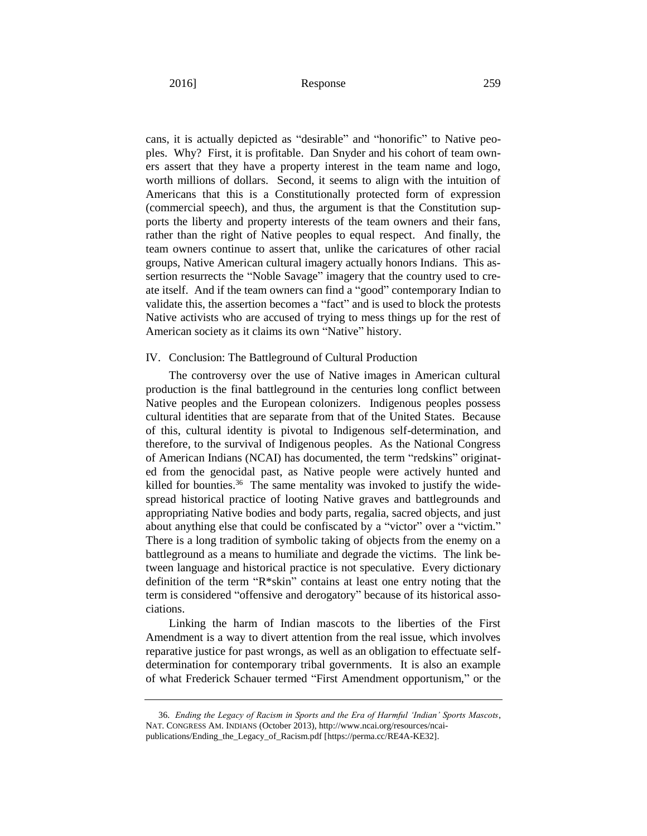cans, it is actually depicted as "desirable" and "honorific" to Native peoples. Why? First, it is profitable. Dan Snyder and his cohort of team owners assert that they have a property interest in the team name and logo, worth millions of dollars. Second, it seems to align with the intuition of Americans that this is a Constitutionally protected form of expression (commercial speech), and thus, the argument is that the Constitution supports the liberty and property interests of the team owners and their fans, rather than the right of Native peoples to equal respect. And finally, the team owners continue to assert that, unlike the caricatures of other racial groups, Native American cultural imagery actually honors Indians. This assertion resurrects the "Noble Savage" imagery that the country used to create itself. And if the team owners can find a "good" contemporary Indian to validate this, the assertion becomes a "fact" and is used to block the protests Native activists who are accused of trying to mess things up for the rest of American society as it claims its own "Native" history.

#### IV. Conclusion: The Battleground of Cultural Production

The controversy over the use of Native images in American cultural production is the final battleground in the centuries long conflict between Native peoples and the European colonizers. Indigenous peoples possess cultural identities that are separate from that of the United States. Because of this, cultural identity is pivotal to Indigenous self-determination, and therefore, to the survival of Indigenous peoples. As the National Congress of American Indians (NCAI) has documented, the term "redskins" originated from the genocidal past, as Native people were actively hunted and killed for bounties.<sup>36</sup> The same mentality was invoked to justify the widespread historical practice of looting Native graves and battlegrounds and appropriating Native bodies and body parts, regalia, sacred objects, and just about anything else that could be confiscated by a "victor" over a "victim." There is a long tradition of symbolic taking of objects from the enemy on a battleground as a means to humiliate and degrade the victims. The link between language and historical practice is not speculative. Every dictionary definition of the term "R\*skin" contains at least one entry noting that the term is considered "offensive and derogatory" because of its historical associations.

Linking the harm of Indian mascots to the liberties of the First Amendment is a way to divert attention from the real issue, which involves reparative justice for past wrongs, as well as an obligation to effectuate selfdetermination for contemporary tribal governments. It is also an example of what Frederick Schauer termed "First Amendment opportunism," or the

<sup>36.</sup> *Ending the Legacy of Racism in Sports and the Era of Harmful 'Indian' Sports Mascots*, NAT. CONGRESS AM. INDIANS (October 2013), http://www.ncai.org/resources/ncaipublications/Ending\_the\_Legacy\_of\_Racism.pdf [https://perma.cc/RE4A-KE32].